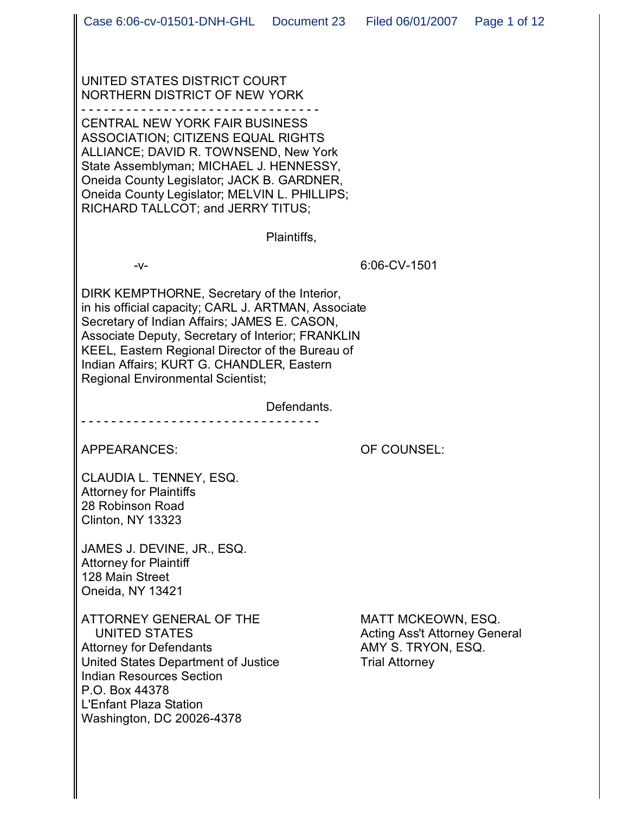UNITED STATES DISTRICT COURT NORTHERN DISTRICT OF NEW YORK

- - - - - - - - - - - - - - - - - - - - - - - - - - - - - - - -

CENTRAL NEW YORK FAIR BUSINESS ASSOCIATION; CITIZENS EQUAL RIGHTS ALLIANCE; DAVID R. TOWNSEND, New York State Assemblyman; MICHAEL J. HENNESSY, Oneida County Legislator; JACK B. GARDNER, Oneida County Legislator; MELVIN L. PHILLIPS; RICHARD TALLCOT; and JERRY TITUS;

Plaintiffs,

-v- 6:06-CV-1501

DIRK KEMPTHORNE, Secretary of the Interior, in his official capacity; CARL J. ARTMAN, Associate Secretary of Indian Affairs; JAMES E. CASON, Associate Deputy, Secretary of Interior; FRANKLIN KEEL, Eastern Regional Director of the Bureau of Indian Affairs; KURT G. CHANDLER, Eastern Regional Environmental Scientist;

- - - - - - - - - - - - - - - - - - - - - - - - - - - - - - - -

Defendants.

APPEARANCES: OF COUNSEL:

CLAUDIA L. TENNEY, ESQ. Attorney for Plaintiffs 28 Robinson Road Clinton, NY 13323

JAMES J. DEVINE, JR., ESQ. Attorney for Plaintiff 128 Main Street Oneida, NY 13421

ATTORNEY GENERAL OF THE MATT MCKEOWN, ESQ. UNITED STATES Acting Ass't Attorney General Attorney for Defendants<br>
United States Department of Justice<br>
Trial Attorney United States Department of Justice Indian Resources Section P.O. Box 44378 L'Enfant Plaza Station Washington, DC 20026-4378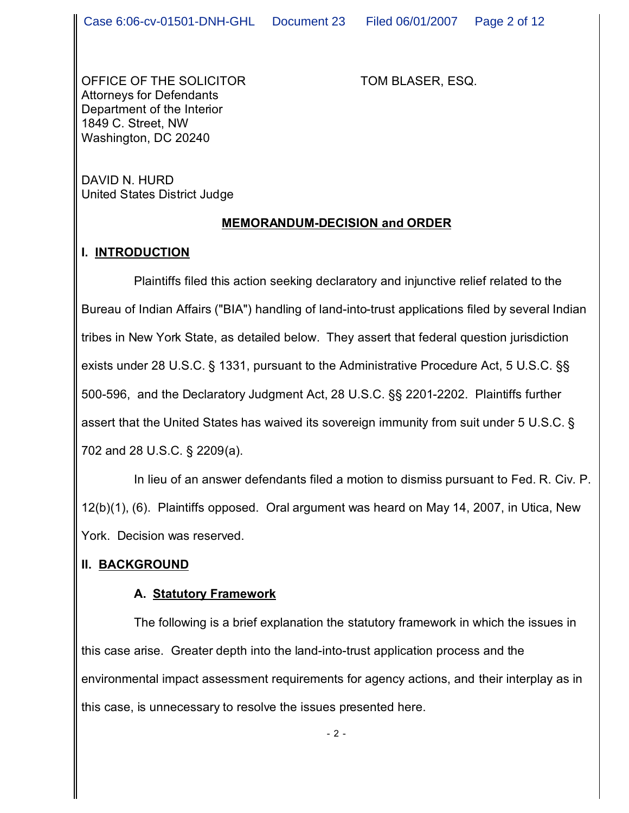OFFICE OF THE SOLICITOR TOM BLASER, ESQ. Attorneys for Defendants Department of the Interior 1849 C. Street, NW Washington, DC 20240

DAVID N. HURD United States District Judge

#### **MEMORANDUM-DECISION and ORDER**

## **I. INTRODUCTION**

Plaintiffs filed this action seeking declaratory and injunctive relief related to the Bureau of Indian Affairs ("BIA") handling of land-into-trust applications filed by several Indian tribes in New York State, as detailed below. They assert that federal question jurisdiction exists under 28 U.S.C. § 1331, pursuant to the Administrative Procedure Act, 5 U.S.C. §§ 500-596, and the Declaratory Judgment Act, 28 U.S.C. §§ 2201-2202. Plaintiffs further assert that the United States has waived its sovereign immunity from suit under 5 U.S.C. § 702 and 28 U.S.C. § 2209(a).

In lieu of an answer defendants filed a motion to dismiss pursuant to Fed. R. Civ. P. 12(b)(1), (6). Plaintiffs opposed. Oral argument was heard on May 14, 2007, in Utica, New York. Decision was reserved.

## **II. BACKGROUND**

## **A. Statutory Framework**

The following is a brief explanation the statutory framework in which the issues in this case arise. Greater depth into the land-into-trust application process and the environmental impact assessment requirements for agency actions, and their interplay as in this case, is unnecessary to resolve the issues presented here.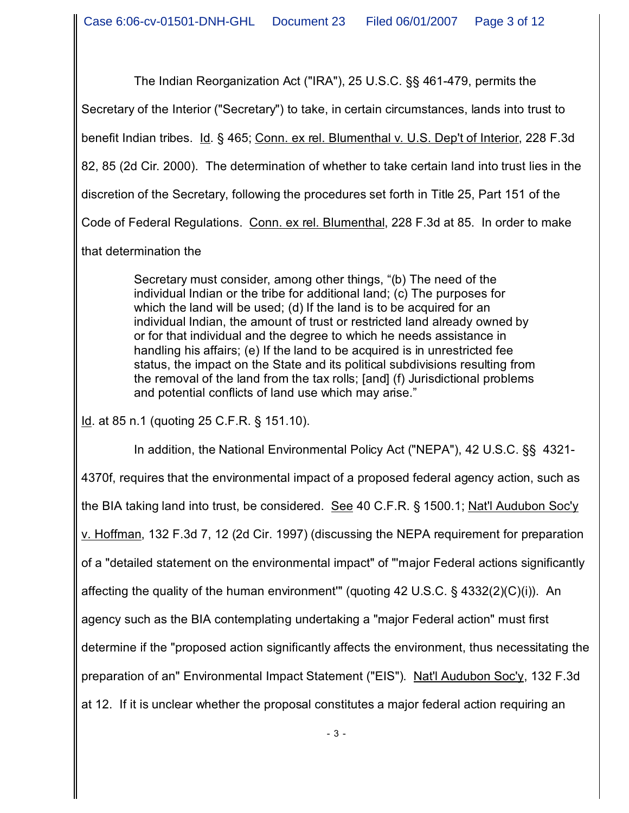The Indian Reorganization Act ("IRA"), 25 U.S.C. §§ 461-479, permits the

Secretary of the Interior ("Secretary") to take, in certain circumstances, lands into trust to

benefit Indian tribes. Id. § 465; Conn. ex rel. Blumenthal v. U.S. Dep't of Interior, 228 F.3d

82, 85 (2d Cir. 2000). The determination of whether to take certain land into trust lies in the

discretion of the Secretary, following the procedures set forth in Title 25, Part 151 of the

Code of Federal Regulations. Conn. ex rel. Blumenthal, 228 F.3d at 85. In order to make

that determination the

Secretary must consider, among other things, "(b) The need of the individual Indian or the tribe for additional land; (c) The purposes for which the land will be used; (d) If the land is to be acquired for an individual Indian, the amount of trust or restricted land already owned by or for that individual and the degree to which he needs assistance in handling his affairs; (e) If the land to be acquired is in unrestricted fee status, the impact on the State and its political subdivisions resulting from the removal of the land from the tax rolls; [and] (f) Jurisdictional problems and potential conflicts of land use which may arise."

Id. at 85 n.1 (quoting 25 C.F.R. § 151.10).

In addition, the National Environmental Policy Act ("NEPA"), 42 U.S.C. §§ 4321- 4370f, requires that the environmental impact of a proposed federal agency action, such as the BIA taking land into trust, be considered. See 40 C.F.R. § 1500.1; Nat'l Audubon Soc'y v. Hoffman, 132 F.3d 7, 12 (2d Cir. 1997) (discussing the NEPA requirement for preparation of a "detailed statement on the environmental impact" of "'major Federal actions significantly affecting the quality of the human environment'" (quoting 42 U.S.C. § 4332(2)(C)(i)). An agency such as the BIA contemplating undertaking a "major Federal action" must first determine if the "proposed action significantly affects the environment, thus necessitating the preparation of an" Environmental Impact Statement ("EIS"). Nat'l Audubon Soc'y, 132 F.3d at 12. If it is unclear whether the proposal constitutes a major federal action requiring an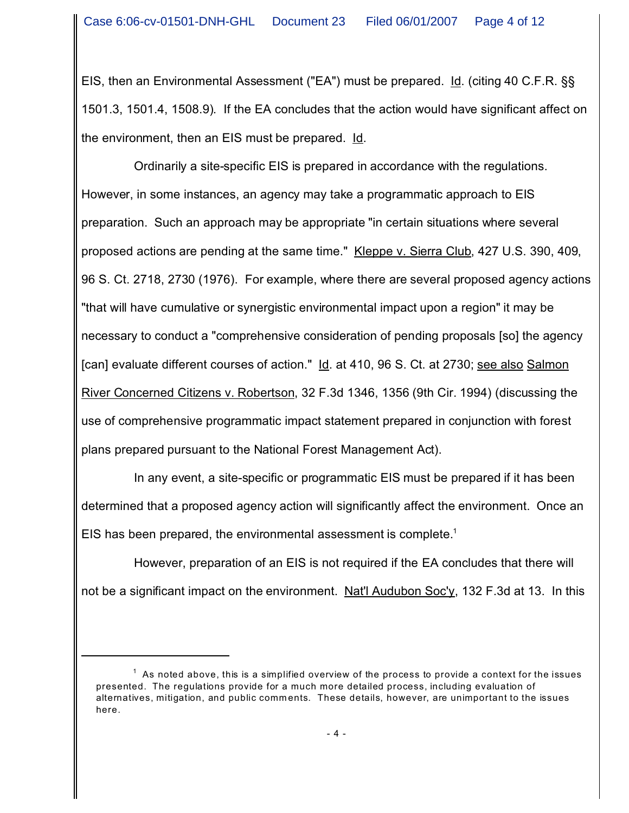EIS, then an Environmental Assessment ("EA") must be prepared. Id. (citing 40 C.F.R. §§ 1501.3, 1501.4, 1508.9). If the EA concludes that the action would have significant affect on the environment, then an EIS must be prepared. Id.

Ordinarily a site-specific EIS is prepared in accordance with the regulations. However, in some instances, an agency may take a programmatic approach to EIS preparation. Such an approach may be appropriate "in certain situations where several proposed actions are pending at the same time." Kleppe v. Sierra Club, 427 U.S. 390, 409, 96 S. Ct. 2718, 2730 (1976). For example, where there are several proposed agency actions "that will have cumulative or synergistic environmental impact upon a region" it may be necessary to conduct a "comprehensive consideration of pending proposals [so] the agency [can] evaluate different courses of action." Id. at 410, 96 S. Ct. at 2730; see also Salmon River Concerned Citizens v. Robertson, 32 F.3d 1346, 1356 (9th Cir. 1994) (discussing the use of comprehensive programmatic impact statement prepared in conjunction with forest plans prepared pursuant to the National Forest Management Act).

In any event, a site-specific or programmatic EIS must be prepared if it has been determined that a proposed agency action will significantly affect the environment. Once an EIS has been prepared, the environmental assessment is complete.<sup>1</sup>

However, preparation of an EIS is not required if the EA concludes that there will not be a significant impact on the environment. Nat'l Audubon Soc'y, 132 F.3d at 13. In this

 $^\mathrm{1}\,$  As noted above, this is a simplified overview of the process to provide a context for the issues presented. The regulations provide for a much more detailed process, including evaluation of alternatives, mitigation, and public comm ents. These details, however, are unimportant to the issues here.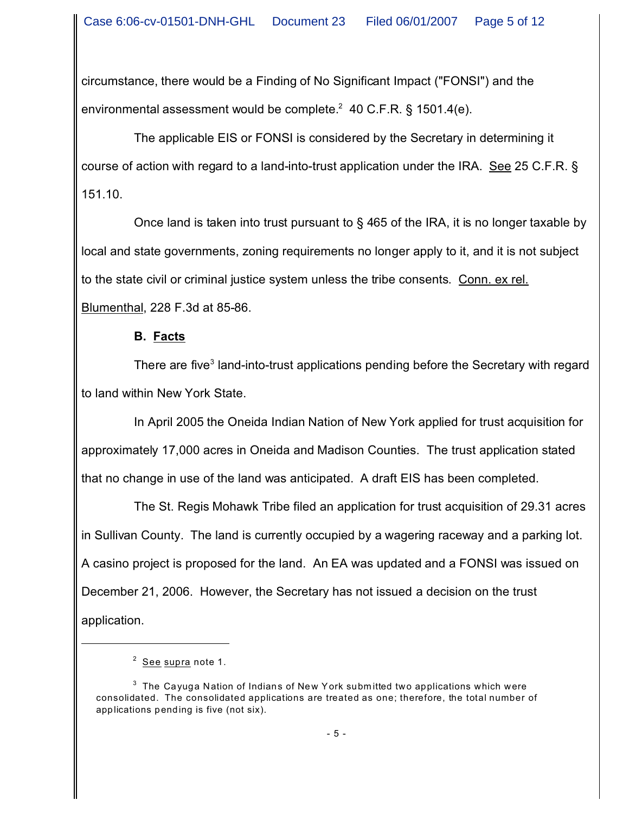circumstance, there would be a Finding of No Significant Impact ("FONSI") and the environmental assessment would be complete. $2$  40 C.F.R. § 1501.4(e).

The applicable EIS or FONSI is considered by the Secretary in determining it course of action with regard to a land-into-trust application under the IRA. See 25 C.F.R. § 151.10.

Once land is taken into trust pursuant to § 465 of the IRA, it is no longer taxable by local and state governments, zoning requirements no longer apply to it, and it is not subject to the state civil or criminal justice system unless the tribe consents. Conn. ex rel. Blumenthal, 228 F.3d at 85-86.

#### **B. Facts**

There are five<sup>3</sup> land-into-trust applications pending before the Secretary with regard to land within New York State.

In April 2005 the Oneida Indian Nation of New York applied for trust acquisition for approximately 17,000 acres in Oneida and Madison Counties. The trust application stated that no change in use of the land was anticipated. A draft EIS has been completed.

The St. Regis Mohawk Tribe filed an application for trust acquisition of 29.31 acres in Sullivan County. The land is currently occupied by a wagering raceway and a parking lot. A casino project is proposed for the land. An EA was updated and a FONSI was issued on December 21, 2006. However, the Secretary has not issued a decision on the trust application.

 $^{\text{2}}$  <u>See supra</u> note 1.

 $^3\,$  The Cayuga Nation of Indians of New York submitted two applications which were consolidated. The consolidated applications are treated as one; therefore, the total number of applications pending is five (not six).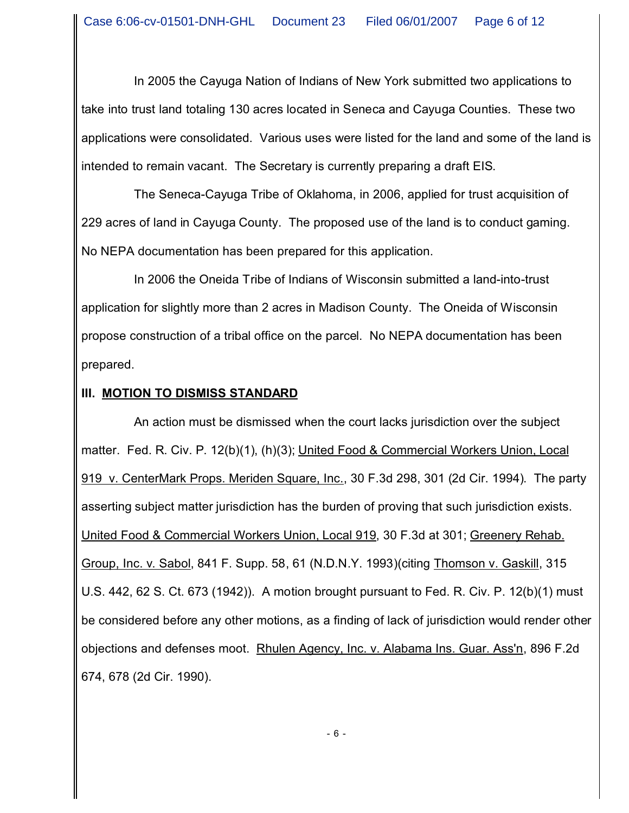In 2005 the Cayuga Nation of Indians of New York submitted two applications to take into trust land totaling 130 acres located in Seneca and Cayuga Counties. These two applications were consolidated. Various uses were listed for the land and some of the land is intended to remain vacant. The Secretary is currently preparing a draft EIS.

The Seneca-Cayuga Tribe of Oklahoma, in 2006, applied for trust acquisition of 229 acres of land in Cayuga County. The proposed use of the land is to conduct gaming. No NEPA documentation has been prepared for this application.

In 2006 the Oneida Tribe of Indians of Wisconsin submitted a land-into-trust application for slightly more than 2 acres in Madison County. The Oneida of Wisconsin propose construction of a tribal office on the parcel. No NEPA documentation has been prepared.

## **III. MOTION TO DISMISS STANDARD**

An action must be dismissed when the court lacks jurisdiction over the subject matter. Fed. R. Civ. P. 12(b)(1), (h)(3); United Food & Commercial Workers Union, Local 919 v. CenterMark Props. Meriden Square, Inc., 30 F.3d 298, 301 (2d Cir. 1994). The party asserting subject matter jurisdiction has the burden of proving that such jurisdiction exists. United Food & Commercial Workers Union, Local 919, 30 F.3d at 301; Greenery Rehab. Group, Inc. v. Sabol, 841 F. Supp. 58, 61 (N.D.N.Y. 1993)(citing Thomson v. Gaskill, 315 U.S. 442, 62 S. Ct. 673 (1942)). A motion brought pursuant to Fed. R. Civ. P. 12(b)(1) must be considered before any other motions, as a finding of lack of jurisdiction would render other objections and defenses moot. Rhulen Agency, Inc. v. Alabama Ins. Guar. Ass'n, 896 F.2d 674, 678 (2d Cir. 1990).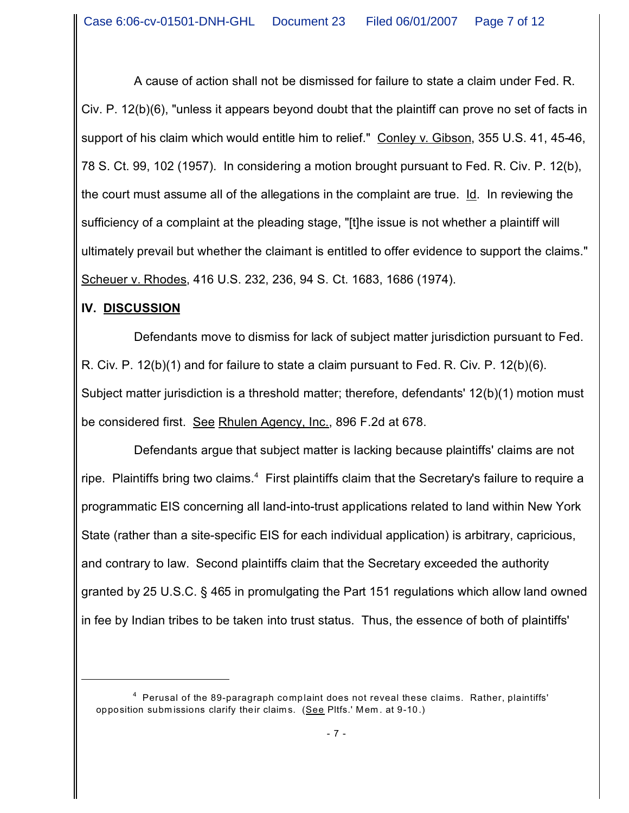A cause of action shall not be dismissed for failure to state a claim under Fed. R. Civ. P. 12(b)(6), "unless it appears beyond doubt that the plaintiff can prove no set of facts in support of his claim which would entitle him to relief." Conley v. Gibson, 355 U.S. 41, 45-46, 78 S. Ct. 99, 102 (1957). In considering a motion brought pursuant to Fed. R. Civ. P. 12(b), the court must assume all of the allegations in the complaint are true. Id. In reviewing the sufficiency of a complaint at the pleading stage, "[t]he issue is not whether a plaintiff will ultimately prevail but whether the claimant is entitled to offer evidence to support the claims." Scheuer v. Rhodes, 416 U.S. 232, 236, 94 S. Ct. 1683, 1686 (1974).

## **IV. DISCUSSION**

Defendants move to dismiss for lack of subject matter jurisdiction pursuant to Fed. R. Civ. P. 12(b)(1) and for failure to state a claim pursuant to Fed. R. Civ. P. 12(b)(6). Subject matter jurisdiction is a threshold matter; therefore, defendants' 12(b)(1) motion must be considered first. See Rhulen Agency, Inc., 896 F.2d at 678.

Defendants argue that subject matter is lacking because plaintiffs' claims are not ripe. Plaintiffs bring two claims.<sup>4</sup> First plaintiffs claim that the Secretary's failure to require a programmatic EIS concerning all land-into-trust applications related to land within New York State (rather than a site-specific EIS for each individual application) is arbitrary, capricious, and contrary to law. Second plaintiffs claim that the Secretary exceeded the authority granted by 25 U.S.C. § 465 in promulgating the Part 151 regulations which allow land owned in fee by Indian tribes to be taken into trust status. Thus, the essence of both of plaintiffs'

<sup>&</sup>lt;sup>4</sup> Perusal of the 89-paragraph complaint does not reveal these claims. Rather, plaintiffs' opposition subm issions clarify their claim s. (See Pltfs.' Mem . at 9-10.)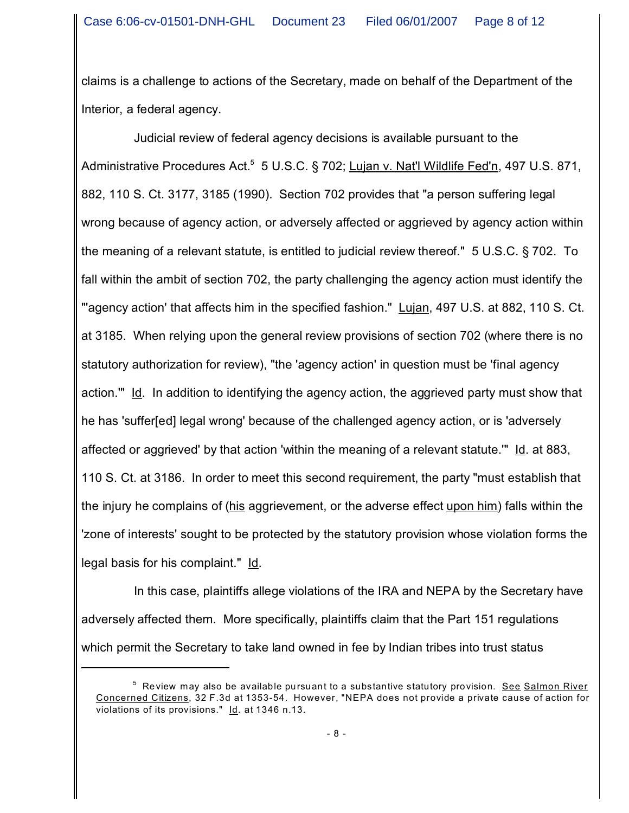claims is a challenge to actions of the Secretary, made on behalf of the Department of the Interior, a federal agency.

Judicial review of federal agency decisions is available pursuant to the Administrative Procedures Act.<sup>5</sup> 5 U.S.C. § 702; Lujan v. Nat'l Wildlife Fed'n, 497 U.S. 871, 882, 110 S. Ct. 3177, 3185 (1990). Section 702 provides that "a person suffering legal wrong because of agency action, or adversely affected or aggrieved by agency action within the meaning of a relevant statute, is entitled to judicial review thereof." 5 U.S.C. § 702. To fall within the ambit of section 702, the party challenging the agency action must identify the "agency action' that affects him in the specified fashion." Lujan, 497 U.S. at 882, 110 S. Ct. at 3185. When relying upon the general review provisions of section 702 (where there is no statutory authorization for review), "the 'agency action' in question must be 'final agency action.'" Id. In addition to identifying the agency action, the aggrieved party must show that he has 'suffer[ed] legal wrong' because of the challenged agency action, or is 'adversely affected or aggrieved' by that action 'within the meaning of a relevant statute.'" Id. at 883, 110 S. Ct. at 3186. In order to meet this second requirement, the party "must establish that the injury he complains of (his aggrievement, or the adverse effect upon him) falls within the 'zone of interests' sought to be protected by the statutory provision whose violation forms the legal basis for his complaint." Id.

In this case, plaintiffs allege violations of the IRA and NEPA by the Secretary have adversely affected them. More specifically, plaintiffs claim that the Part 151 regulations which permit the Secretary to take land owned in fee by Indian tribes into trust status

<sup>&</sup>lt;sup>5</sup> Review may also be available pursuant to a substantive statutory provision. See Salmon River Concerned Citizens, 32 F.3d at 1353-54. However, "NEPA does not provide a private cause of action for violations of its provisions." Id. at 1346 n.13.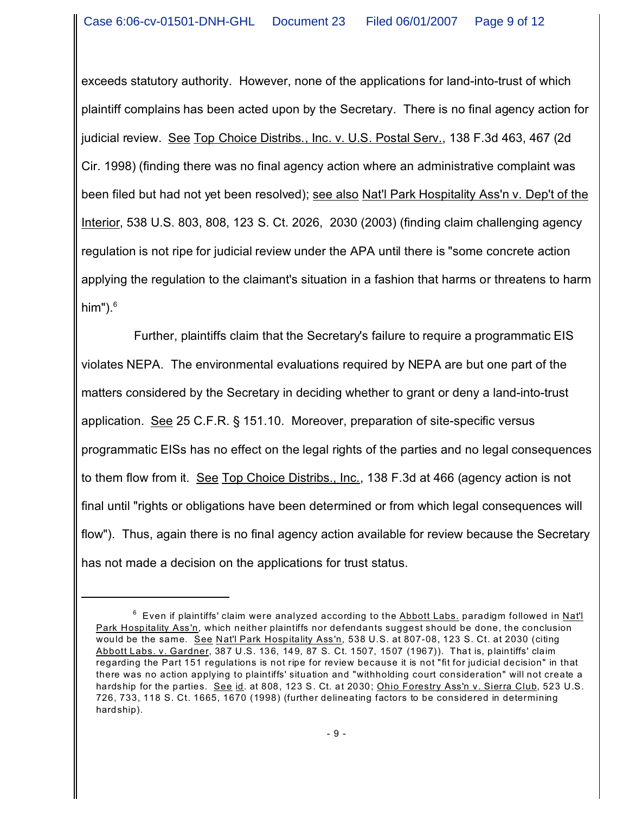exceeds statutory authority. However, none of the applications for land-into-trust of which plaintiff complains has been acted upon by the Secretary. There is no final agency action for judicial review. See Top Choice Distribs., Inc. v. U.S. Postal Serv., 138 F.3d 463, 467 (2d Cir. 1998) (finding there was no final agency action where an administrative complaint was been filed but had not yet been resolved); see also Nat'l Park Hospitality Ass'n v. Dep't of the Interior, 538 U.S. 803, 808, 123 S. Ct. 2026, 2030 (2003) (finding claim challenging agency regulation is not ripe for judicial review under the APA until there is "some concrete action applying the regulation to the claimant's situation in a fashion that harms or threatens to harm him"). $6$ 

Further, plaintiffs claim that the Secretary's failure to require a programmatic EIS violates NEPA. The environmental evaluations required by NEPA are but one part of the matters considered by the Secretary in deciding whether to grant or deny a land-into-trust application. See 25 C.F.R. § 151.10. Moreover, preparation of site-specific versus programmatic EISs has no effect on the legal rights of the parties and no legal consequences to them flow from it. See Top Choice Distribs., Inc., 138 F.3d at 466 (agency action is not final until "rights or obligations have been determined or from which legal consequences will flow"). Thus, again there is no final agency action available for review because the Secretary has not made a decision on the applications for trust status.

 $^6\,$  Even if plaintiffs' claim were analyzed according to the <u>Abbott Labs.</u> paradigm followed in <u>Nat'l</u> Park Hospitality Ass'n, which neither plaintiffs nor defendants suggest should be done, the conclusion would be the same. See Nat'l Park Hospitality Ass'n, 538 U.S. at 807-08, 123 S. Ct. at 2030 (citing Abbott Labs. v. Gardner, 387 U.S. 136, 149, 87 S. Ct. 1507, 1507 (1967)). That is, plaintiffs' claim regarding the Part 151 regulations is not ripe for review because it is not "fit for judicial decision" in that there was no action applying to plaintiffs' situation and "withholding court consideration" will not create a hardship for the parties. See id. at 808, 123 S. Ct. at 2030; Ohio Forestry Ass'n v. Sierra Club, 523 U.S. 726, 733, 118 S. Ct. 1665, 1670 (1998) (further delineating factors to be considered in determining hardship).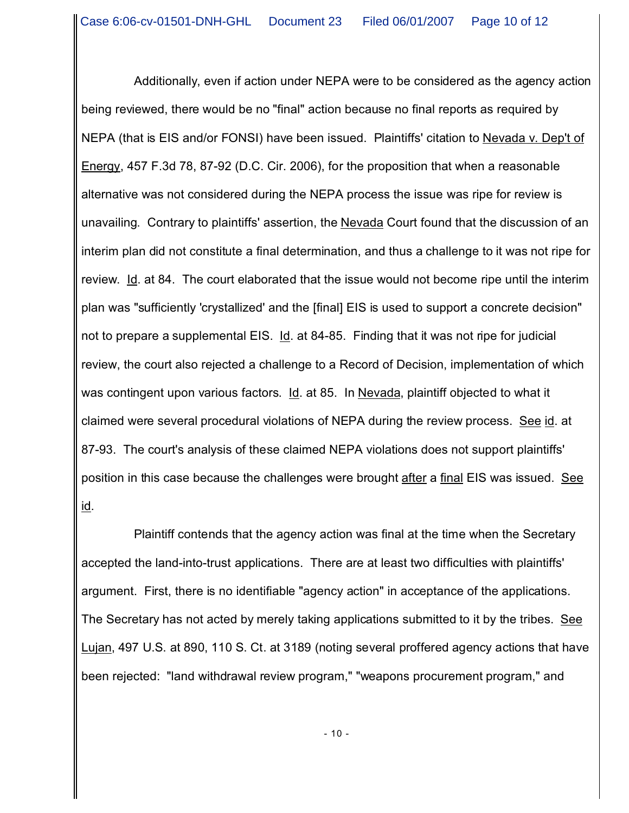Additionally, even if action under NEPA were to be considered as the agency action being reviewed, there would be no "final" action because no final reports as required by NEPA (that is EIS and/or FONSI) have been issued. Plaintiffs' citation to Nevada v. Dep't of Energy, 457 F.3d 78, 87-92 (D.C. Cir. 2006), for the proposition that when a reasonable alternative was not considered during the NEPA process the issue was ripe for review is unavailing. Contrary to plaintiffs' assertion, the Nevada Court found that the discussion of an interim plan did not constitute a final determination, and thus a challenge to it was not ripe for review. Id. at 84. The court elaborated that the issue would not become ripe until the interim plan was "sufficiently 'crystallized' and the [final] EIS is used to support a concrete decision" not to prepare a supplemental EIS. Id. at 84-85. Finding that it was not ripe for judicial review, the court also rejected a challenge to a Record of Decision, implementation of which was contingent upon various factors. Id. at 85. In Nevada, plaintiff objected to what it claimed were several procedural violations of NEPA during the review process. See id. at 87-93. The court's analysis of these claimed NEPA violations does not support plaintiffs' position in this case because the challenges were brought after a final EIS was issued. See <u>id</u>.

Plaintiff contends that the agency action was final at the time when the Secretary accepted the land-into-trust applications. There are at least two difficulties with plaintiffs' argument. First, there is no identifiable "agency action" in acceptance of the applications. The Secretary has not acted by merely taking applications submitted to it by the tribes. See Lujan, 497 U.S. at 890, 110 S. Ct. at 3189 (noting several proffered agency actions that have been rejected: "land withdrawal review program," "weapons procurement program," and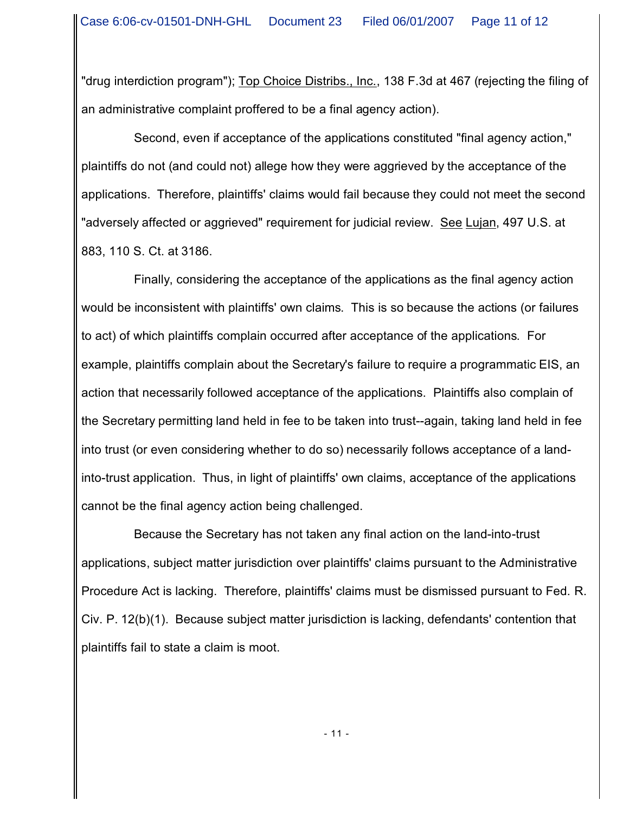"drug interdiction program"); Top Choice Distribs., Inc., 138 F.3d at 467 (rejecting the filing of an administrative complaint proffered to be a final agency action).

Second, even if acceptance of the applications constituted "final agency action," plaintiffs do not (and could not) allege how they were aggrieved by the acceptance of the applications. Therefore, plaintiffs' claims would fail because they could not meet the second "adversely affected or aggrieved" requirement for judicial review. See Lujan, 497 U.S. at 883, 110 S. Ct. at 3186.

Finally, considering the acceptance of the applications as the final agency action would be inconsistent with plaintiffs' own claims. This is so because the actions (or failures to act) of which plaintiffs complain occurred after acceptance of the applications. For example, plaintiffs complain about the Secretary's failure to require a programmatic EIS, an action that necessarily followed acceptance of the applications. Plaintiffs also complain of the Secretary permitting land held in fee to be taken into trust--again, taking land held in fee into trust (or even considering whether to do so) necessarily follows acceptance of a landinto-trust application. Thus, in light of plaintiffs' own claims, acceptance of the applications cannot be the final agency action being challenged.

Because the Secretary has not taken any final action on the land-into-trust applications, subject matter jurisdiction over plaintiffs' claims pursuant to the Administrative Procedure Act is lacking. Therefore, plaintiffs' claims must be dismissed pursuant to Fed. R. Civ. P. 12(b)(1). Because subject matter jurisdiction is lacking, defendants' contention that plaintiffs fail to state a claim is moot.